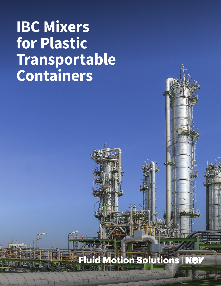# **IBC Mixers for Plastic Transportable Containers**

## **Fluid Motion Solutions**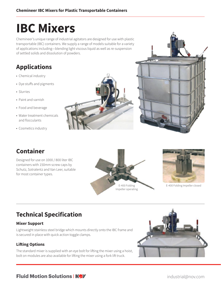## **IBC Mixers**

Chemineer's unique range of industrial agitators are designed for use with plastic transportable (IBC) containers. We supply a range of models suitable for a variety of applications including—blending light viscous liquid as well as re-suspension of settled solids and dissolution of powders.

## **Applications**

- Chemical industry
- Dye stuffs and pigments
- Slurries
- Paint and varnish
- Food and beverage
- Water treatment chemicals and flocculants
- Cosmetics industry





### **Container**

Designed for use on 1000 / 800 liter IBC containers with 150mm screw caps by Schutz, Sotralentz and Van Leer, suitable for most container types.





E-400 Folding Impeller closed

## **Technical Specification**

#### **Mixer Support**

Lightweight stainless steel bridge which mounts directly onto the IBC frame and is secured in place with quick action toggle clamps.

#### **Lifting Options**

The standard mixer is supplied with an eye bolt for lifting the mixer using a hoist, bolt on modules are also available for lifting the mixer using a fork lift truck.



#### **Fluid Motion Solutions** [industrial@nov.com](mailto:industrial%40nov.com?subject=)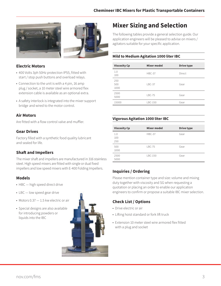



#### **Electric Motors**

- 400 Volts 3ph 50Hz protection IP55, fitted with start / stop push buttons and overload relays.
- Connection to the unit is with a 4 pin, 16 amp plug / socket, a 10 meter steel wire armored flex extension cable is available as an optional extra.
- A safety interlock is integrated into the mixer support bridge and wired to the motor control.

#### **Air Motors**

Are fitted with a flow control valve and muffler.

#### **Gear Drives**

Factory filled with a synthetic food quality lubricant and sealed for life.

#### **Shaft and Impellers**

The mixer shaft and impellers are manufactured in 316 stainless steel. High speed mixers are fitted with single or dual fixed impellers and low speed mixers with E-400 Folding Impellers.

#### **Models**

- HBC high speed direct drive
- LBC low speed gear drive
- Motors 0.37 1.5 kw electric or air
- Special designs are also available for introducing powders or liquids into the IBC



### **Mixer Sizing and Selection**

The following tables provide a general selection guide. Our application engineers will be pleased to advise on mixers / agitators suitable for your specific application.

#### **Mild to Medium Agitation 1000 liter IBC**

| <b>Viscosity Cp</b> | Mixer model   | <b>Drive type</b> |
|---------------------|---------------|-------------------|
| 1.0<br>100          | <b>HBC-37</b> | Direct            |
| 250<br>500<br>1000  | IBC-37        | Gear              |
| 2500<br>5000        | IBC-75        | Gear              |
| 15000               | LBC-150       | Gear              |

#### **Vigorous Agitation 1000 liter IBC**

| <b>Viscosity Cp</b> | <b>Mixer model</b> | <b>Drive type</b> |
|---------------------|--------------------|-------------------|
| 1.0<br>100<br>250   | <b>HBC-37</b>      | Gear              |
| 500<br>1000         | $LBC-75$           | Gear              |
| 2500<br>5000        | LBC-150            | Gear              |

#### **Inquiries / Ordering**

Please mention container type and size: volume and mixing duty together with viscosity and SG when requesting a quotation or placing an order to enable our application engineers to confirm or propose a suitable IBC mixer selection.

#### **Check List / Options**

- Drive electric or air
- Lifting hoist standard or fork lift truck
- Extension 10 meter steel wire armored flex fitted with a plug and socket